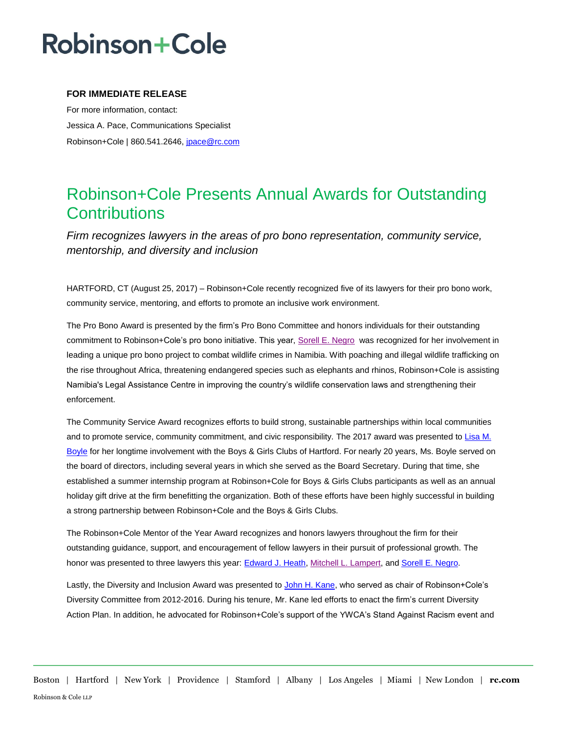## **Robinson+Cole**

### **FOR IMMEDIATE RELEASE**

For more information, contact: Jessica A. Pace, Communications Specialist Robinson+Cole | 860.541.2646, [jpace@rc.com](mailto:jpace@rc.com)

### Robinson+Cole Presents Annual Awards for Outstanding **Contributions**

*Firm recognizes lawyers in the areas of pro bono representation, community service, mentorship, and diversity and inclusion*

HARTFORD, CT (August 25, 2017) – Robinson+Cole recently recognized five of its lawyers for their pro bono work, community service, mentoring, and efforts to promote an inclusive work environment.

The Pro Bono Award is presented by the firm's Pro Bono Committee and honors individuals for their outstanding commitment to Robinson+Cole's pro bono initiative. This year, [Sorell E. Negro](http://www.rc.com/people/SorellENegro.cfm) was recognized for her involvement in leading a unique pro bono project to combat wildlife crimes in Namibia. With poaching and illegal wildlife trafficking on the rise throughout Africa, threatening endangered species such as elephants and rhinos, Robinson+Cole is assisting Namibia's Legal Assistance Centre in improving the country's wildlife conservation laws and strengthening their enforcement.

The Community Service Award recognizes efforts to build strong, sustainable partnerships within local communities and to promote service, community commitment, and civic responsibility. The 2017 award was presented to [Lisa M.](http://www.rc.com/people/LisaMBoyle.cfm)  [Boyle](http://www.rc.com/people/LisaMBoyle.cfm) for her longtime involvement with the Boys & Girls Clubs of Hartford. For nearly 20 years, Ms. Boyle served on the board of directors, including several years in which she served as the Board Secretary. During that time, she established a summer internship program at Robinson+Cole for Boys & Girls Clubs participants as well as an annual holiday gift drive at the firm benefitting the organization. Both of these efforts have been highly successful in building a strong partnership between Robinson+Cole and the Boys & Girls Clubs.

The Robinson+Cole Mentor of the Year Award recognizes and honors lawyers throughout the firm for their outstanding guidance, support, and encouragement of fellow lawyers in their pursuit of professional growth. The honor was presented to three lawyers this year[: Edward J. Heath,](http://www.rc.com/people/EdwardJHeath.cfm) [Mitchell L. Lampert,](http://www.rc.com/people/MitchellLLampert.cfm) an[d Sorell E. Negro.](http://www.rc.com/people/SorellENegro.cfm)

Lastly, the Diversity and Inclusion Award was presented to [John H. Kane,](http://www.rc.com/people/JohnHKane.cfm) who served as chair of Robinson+Cole's Diversity Committee from 2012-2016. During his tenure, Mr. Kane led efforts to enact the firm's current Diversity Action Plan. In addition, he advocated for Robinson+Cole's support of the YWCA's Stand Against Racism event and

Boston | Hartford | New York | Providence | Stamford | Albany | Los Angeles | Miami | New London | **rc.com** Robinson & Cole LLP